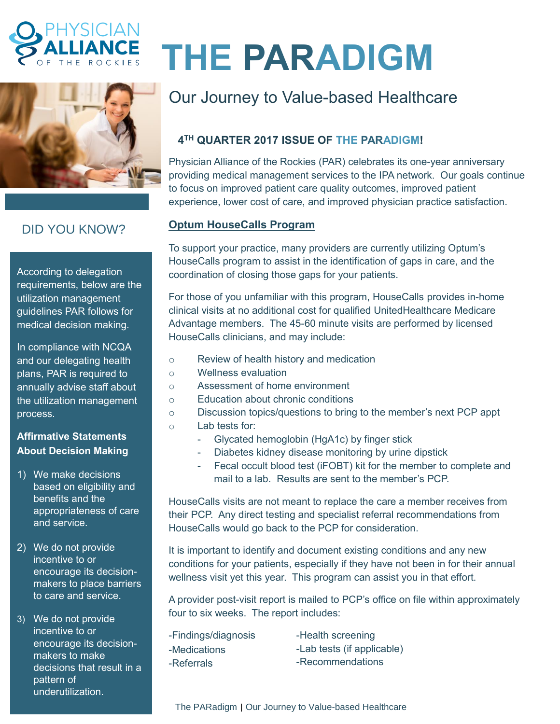



# DID YOU KNOW?

According to delegation requirements, below are the utilization management guidelines PAR follows for medical decision making.

In compliance with NCQA and our delegating health plans, PAR is required to annually advise staff about the utilization management process.

### **Affirmative Statements About Decision Making**

- 1) We make decisions based on eligibility and benefits and the appropriateness of care and service.
- 2) We do not provide incentive to or encourage its decisionmakers to place barriers to care and service.

3) We do not provide incentive to or encourage its decisionmakers to make decisions that result in a pattern of underutilization.

# **THE PARADIGM**

# Our Journey to Value-based Healthcare

# **4 TH QUARTER 2017 ISSUE OF THE PARADIGM!**

Physician Alliance of the Rockies (PAR) celebrates its one-year anniversary providing medical management services to the IPA network. Our goals continue to focus on improved patient care quality outcomes, improved patient experience, lower cost of care, and improved physician practice satisfaction.

## **Optum HouseCalls Program**

To support your practice, many providers are currently utilizing Optum's HouseCalls program to assist in the identification of gaps in care, and the coordination of closing those gaps for your patients.

For those of you unfamiliar with this program, HouseCalls provides in-home clinical visits at no additional cost for qualified UnitedHealthcare Medicare Advantage members. The 45-60 minute visits are performed by licensed HouseCalls clinicians, and may include:

- o Review of health history and medication
- o Wellness evaluation
- o Assessment of home environment
- o Education about chronic conditions
- o Discussion topics/questions to bring to the member's next PCP appt o Lab tests for:
	- Glycated hemoglobin (HgA1c) by finger stick
		- Diabetes kidney disease monitoring by urine dipstick
		- Fecal occult blood test (iFOBT) kit for the member to complete and mail to a lab. Results are sent to the member's PCP.

HouseCalls visits are not meant to replace the care a member receives from their PCP. Any direct testing and specialist referral recommendations from HouseCalls would go back to the PCP for consideration.

It is important to identify and document existing conditions and any new conditions for your patients, especially if they have not been in for their annual wellness visit yet this year. This program can assist you in that effort.

A provider post-visit report is mailed to PCP's office on file within approximately four to six weeks. The report includes:

| -Findings/diagnosis | -Health screening          |
|---------------------|----------------------------|
| -Medications        | -Lab tests (if applicable) |
| -Referrals          | -Recommendations           |

The PARadigm | Our Journey to Value-based Healthcare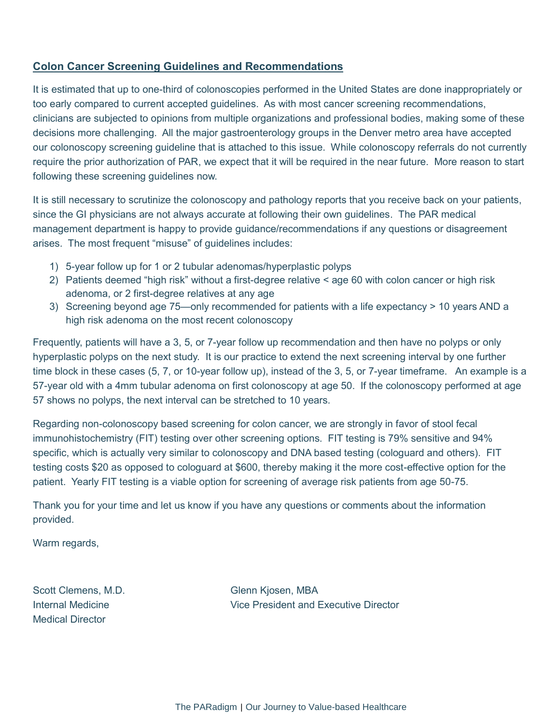#### **Colon Cancer Screening Guidelines and Recommendations**

It is estimated that up to one-third of colonoscopies performed in the United States are done inappropriately or too early compared to current accepted guidelines. As with most cancer screening recommendations, clinicians are subjected to opinions from multiple organizations and professional bodies, making some of these decisions more challenging. All the major gastroenterology groups in the Denver metro area have accepted our colonoscopy screening guideline that is attached to this issue. While colonoscopy referrals do not currently require the prior authorization of PAR, we expect that it will be required in the near future. More reason to start following these screening guidelines now.

It is still necessary to scrutinize the colonoscopy and pathology reports that you receive back on your patients, since the GI physicians are not always accurate at following their own guidelines. The PAR medical management department is happy to provide guidance/recommendations if any questions or disagreement arises. The most frequent "misuse" of guidelines includes:

- 1) 5-year follow up for 1 or 2 tubular adenomas/hyperplastic polyps
- 2) Patients deemed "high risk" without a first-degree relative < age 60 with colon cancer or high risk adenoma, or 2 first-degree relatives at any age
- 3) Screening beyond age 75—only recommended for patients with a life expectancy > 10 years AND a high risk adenoma on the most recent colonoscopy

Frequently, patients will have a 3, 5, or 7-year follow up recommendation and then have no polyps or only hyperplastic polyps on the next study. It is our practice to extend the next screening interval by one further time block in these cases (5, 7, or 10-year follow up), instead of the 3, 5, or 7-year timeframe. An example is a 57-year old with a 4mm tubular adenoma on first colonoscopy at age 50. If the colonoscopy performed at age 57 shows no polyps, the next interval can be stretched to 10 years.

Regarding non-colonoscopy based screening for colon cancer, we are strongly in favor of stool fecal immunohistochemistry (FIT) testing over other screening options. FIT testing is 79% sensitive and 94% specific, which is actually very similar to colonoscopy and DNA based testing (cologuard and others). FIT testing costs \$20 as opposed to cologuard at \$600, thereby making it the more cost-effective option for the patient. Yearly FIT testing is a viable option for screening of average risk patients from age 50-75.

Thank you for your time and let us know if you have any questions or comments about the information provided.

Warm regards,

Scott Clemens, M.D. Glenn Kjosen, MBA Medical Director

Internal Medicine Vice President and Executive Director